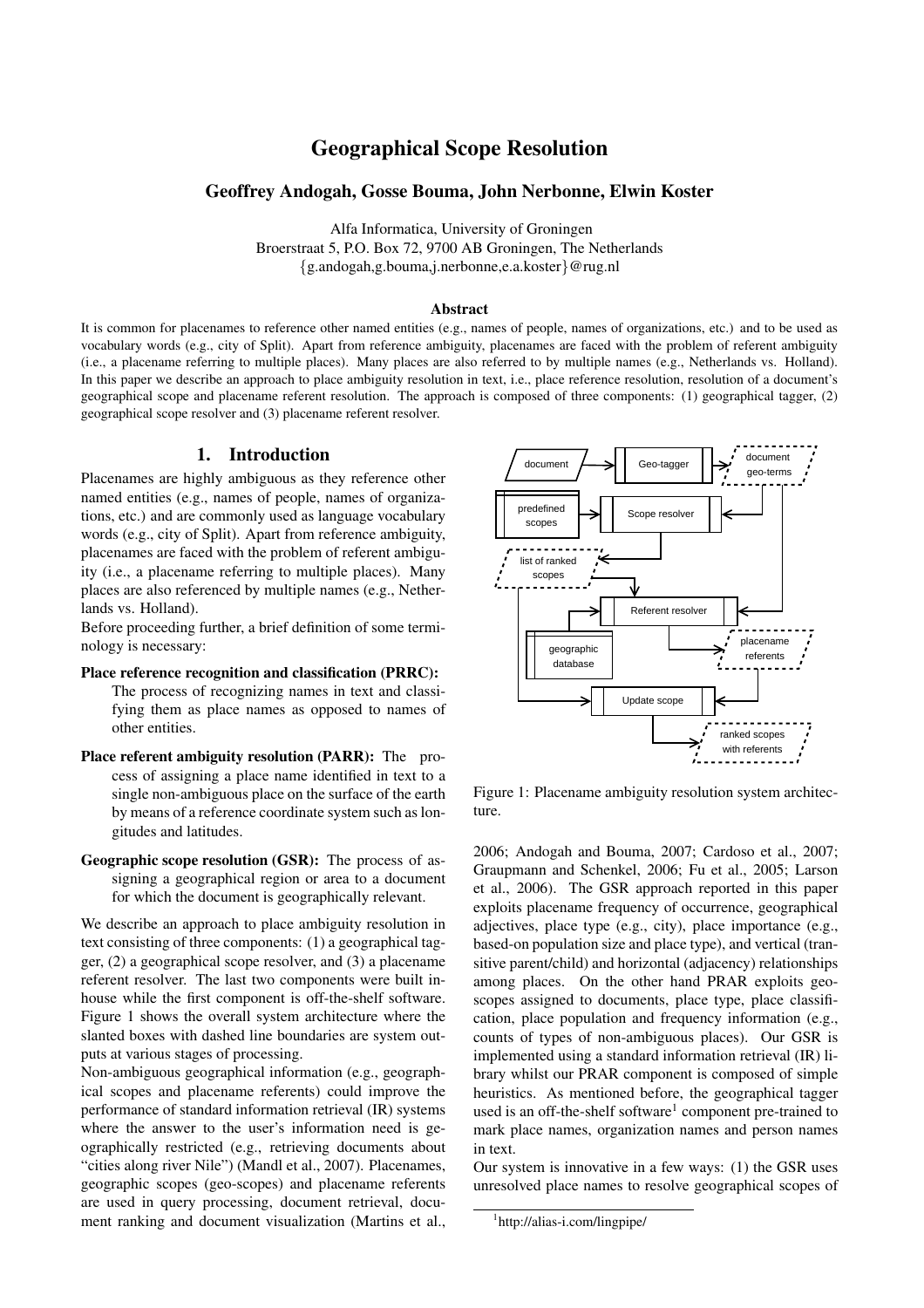# Geographical Scope Resolution

### Geoffrey Andogah, Gosse Bouma, John Nerbonne, Elwin Koster

Alfa Informatica, University of Groningen Broerstraat 5, P.O. Box 72, 9700 AB Groningen, The Netherlands {g.andogah,g.bouma,j.nerbonne,e.a.koster}@rug.nl

#### Abstract

It is common for placenames to reference other named entities (e.g., names of people, names of organizations, etc.) and to be used as vocabulary words (e.g., city of Split). Apart from reference ambiguity, placenames are faced with the problem of referent ambiguity (i.e., a placename referring to multiple places). Many places are also referred to by multiple names (e.g., Netherlands vs. Holland). In this paper we describe an approach to place ambiguity resolution in text, i.e., place reference resolution, resolution of a document's geographical scope and placename referent resolution. The approach is composed of three components: (1) geographical tagger, (2) geographical scope resolver and (3) placename referent resolver.

### 1. Introduction

Placenames are highly ambiguous as they reference other named entities (e.g., names of people, names of organizations, etc.) and are commonly used as language vocabulary words (e.g., city of Split). Apart from reference ambiguity, placenames are faced with the problem of referent ambiguity (i.e., a placename referring to multiple places). Many places are also referenced by multiple names (e.g., Netherlands vs. Holland).

Before proceeding further, a brief definition of some terminology is necessary:

Place reference recognition and classification (PRRC): The process of recognizing names in text and classi-

fying them as place names as opposed to names of other entities.

- Place referent ambiguity resolution (PARR): The process of assigning a place name identified in text to a single non-ambiguous place on the surface of the earth by means of a reference coordinate system such as longitudes and latitudes.
- Geographic scope resolution (GSR): The process of assigning a geographical region or area to a document for which the document is geographically relevant.

We describe an approach to place ambiguity resolution in text consisting of three components: (1) a geographical tagger, (2) a geographical scope resolver, and (3) a placename referent resolver. The last two components were built inhouse while the first component is off-the-shelf software. Figure 1 shows the overall system architecture where the slanted boxes with dashed line boundaries are system outputs at various stages of processing.

Non-ambiguous geographical information (e.g., geographical scopes and placename referents) could improve the performance of standard information retrieval (IR) systems where the answer to the user's information need is geographically restricted (e.g., retrieving documents about "cities along river Nile") (Mandl et al., 2007). Placenames, geographic scopes (geo-scopes) and placename referents are used in query processing, document retrieval, document ranking and document visualization (Martins et al.,



Figure 1: Placename ambiguity resolution system architecture.

2006; Andogah and Bouma, 2007; Cardoso et al., 2007; Graupmann and Schenkel, 2006; Fu et al., 2005; Larson et al., 2006). The GSR approach reported in this paper exploits placename frequency of occurrence, geographical adjectives, place type (e.g., city), place importance (e.g., based-on population size and place type), and vertical (transitive parent/child) and horizontal (adjacency) relationships among places. On the other hand PRAR exploits geoscopes assigned to documents, place type, place classification, place population and frequency information (e.g., counts of types of non-ambiguous places). Our GSR is implemented using a standard information retrieval (IR) library whilst our PRAR component is composed of simple heuristics. As mentioned before, the geographical tagger used is an off-the-shelf software<sup>1</sup> component pre-trained to mark place names, organization names and person names in text.

Our system is innovative in a few ways: (1) the GSR uses unresolved place names to resolve geographical scopes of

<sup>1</sup> http://alias-i.com/lingpipe/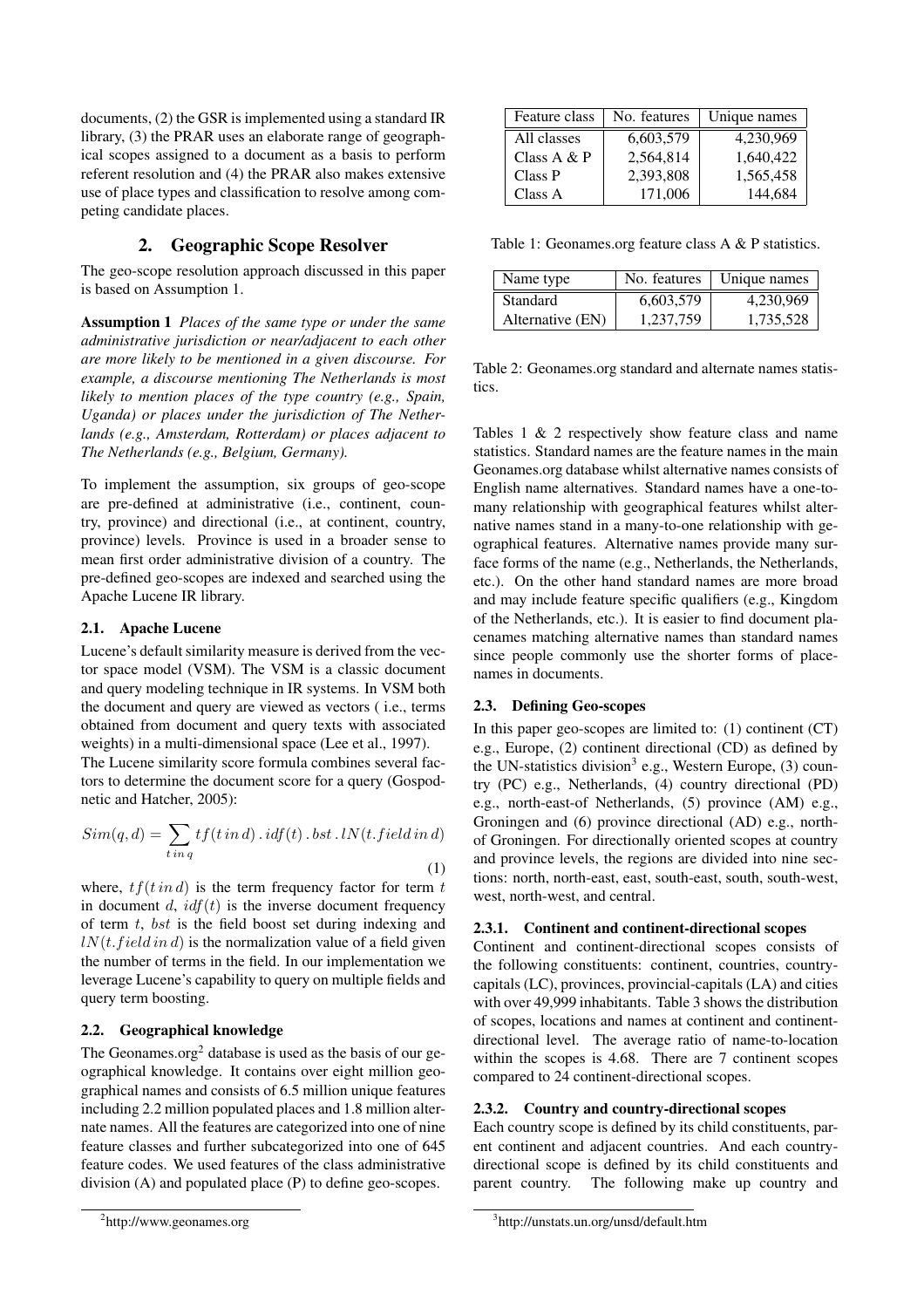documents, (2) the GSR is implemented using a standard IR library, (3) the PRAR uses an elaborate range of geographical scopes assigned to a document as a basis to perform referent resolution and (4) the PRAR also makes extensive use of place types and classification to resolve among competing candidate places.

# 2. Geographic Scope Resolver

The geo-scope resolution approach discussed in this paper is based on Assumption 1.

Assumption 1 *Places of the same type or under the same administrative jurisdiction or near/adjacent to each other are more likely to be mentioned in a given discourse. For example, a discourse mentioning The Netherlands is most likely to mention places of the type country (e.g., Spain, Uganda) or places under the jurisdiction of The Netherlands (e.g., Amsterdam, Rotterdam) or places adjacent to The Netherlands (e.g., Belgium, Germany).*

To implement the assumption, six groups of geo-scope are pre-defined at administrative (i.e., continent, country, province) and directional (i.e., at continent, country, province) levels. Province is used in a broader sense to mean first order administrative division of a country. The pre-defined geo-scopes are indexed and searched using the Apache Lucene IR library.

### 2.1. Apache Lucene

Lucene's default similarity measure is derived from the vector space model (VSM). The VSM is a classic document and query modeling technique in IR systems. In VSM both the document and query are viewed as vectors ( i.e., terms obtained from document and query texts with associated weights) in a multi-dimensional space (Lee et al., 1997).

The Lucene similarity score formula combines several factors to determine the document score for a query (Gospodnetic and Hatcher, 2005):

$$
Sim(q, d) = \sum_{t in q} tf(t in d) \cdot idf(t) \cdot bst \cdot lN(t.field in d)
$$
\n(1)

where,  $tf(t \text{ in } d)$  is the term frequency factor for term t in document  $d$ ,  $\text{if}(t)$  is the inverse document frequency of term  $t$ , bst is the field boost set during indexing and  $lN(t.field in d)$  is the normalization value of a field given the number of terms in the field. In our implementation we leverage Lucene's capability to query on multiple fields and query term boosting.

## 2.2. Geographical knowledge

The Geonames.org<sup>2</sup> database is used as the basis of our geographical knowledge. It contains over eight million geographical names and consists of 6.5 million unique features including 2.2 million populated places and 1.8 million alternate names. All the features are categorized into one of nine feature classes and further subcategorized into one of 645 feature codes. We used features of the class administrative division (A) and populated place (P) to define geo-scopes.

| Feature class | No. features | Unique names |
|---------------|--------------|--------------|
| All classes   | 6,603,579    | 4,230,969    |
| Class $A & P$ | 2,564,814    | 1,640,422    |
| Class P       | 2,393,808    | 1,565,458    |
| Class A       | 171,006      | 144,684      |

Table 1: Geonames.org feature class A & P statistics.

| Name type        |           | No. features   Unique names |
|------------------|-----------|-----------------------------|
| <b>Standard</b>  | 6,603,579 | 4,230,969                   |
| Alternative (EN) | 1,237,759 | 1,735,528                   |

Table 2: Geonames.org standard and alternate names statistics.

Tables 1 & 2 respectively show feature class and name statistics. Standard names are the feature names in the main Geonames.org database whilst alternative names consists of English name alternatives. Standard names have a one-tomany relationship with geographical features whilst alternative names stand in a many-to-one relationship with geographical features. Alternative names provide many surface forms of the name (e.g., Netherlands, the Netherlands, etc.). On the other hand standard names are more broad and may include feature specific qualifiers (e.g., Kingdom of the Netherlands, etc.). It is easier to find document placenames matching alternative names than standard names since people commonly use the shorter forms of placenames in documents.

### 2.3. Defining Geo-scopes

In this paper geo-scopes are limited to: (1) continent (CT) e.g., Europe, (2) continent directional (CD) as defined by the UN-statistics division<sup>3</sup> e.g., Western Europe, (3) country (PC) e.g., Netherlands, (4) country directional (PD) e.g., north-east-of Netherlands, (5) province (AM) e.g., Groningen and (6) province directional (AD) e.g., northof Groningen. For directionally oriented scopes at country and province levels, the regions are divided into nine sections: north, north-east, east, south-east, south, south-west, west, north-west, and central.

### 2.3.1. Continent and continent-directional scopes

Continent and continent-directional scopes consists of the following constituents: continent, countries, countrycapitals (LC), provinces, provincial-capitals (LA) and cities with over 49,999 inhabitants. Table 3 shows the distribution of scopes, locations and names at continent and continentdirectional level. The average ratio of name-to-location within the scopes is 4.68. There are 7 continent scopes compared to 24 continent-directional scopes.

### 2.3.2. Country and country-directional scopes

Each country scope is defined by its child constituents, parent continent and adjacent countries. And each countrydirectional scope is defined by its child constituents and parent country. The following make up country and

<sup>&</sup>lt;sup>2</sup>http://www.geonames.org

<sup>3</sup> http://unstats.un.org/unsd/default.htm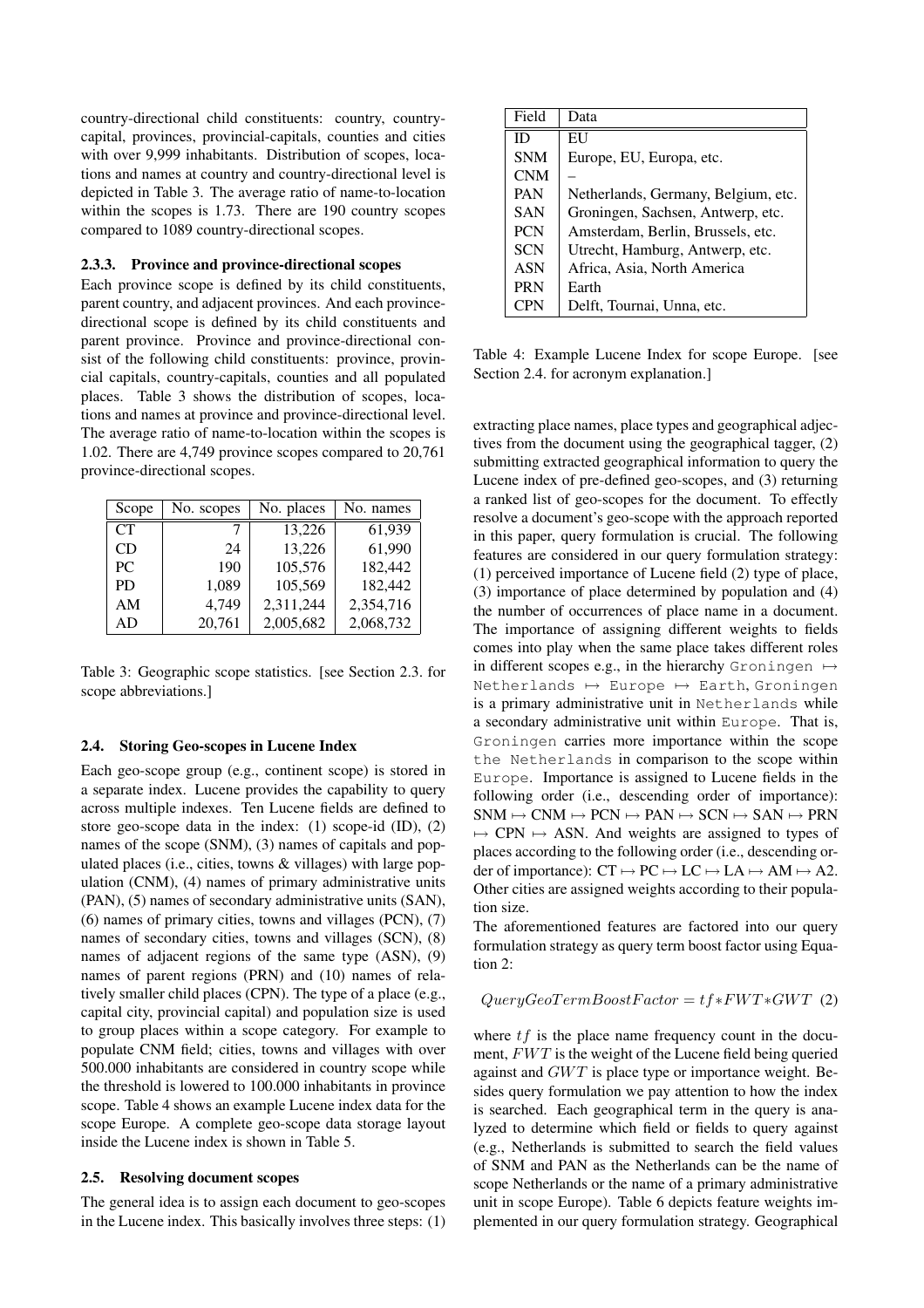country-directional child constituents: country, countrycapital, provinces, provincial-capitals, counties and cities with over 9,999 inhabitants. Distribution of scopes, locations and names at country and country-directional level is depicted in Table 3. The average ratio of name-to-location within the scopes is 1.73. There are 190 country scopes compared to 1089 country-directional scopes.

#### 2.3.3. Province and province-directional scopes

Each province scope is defined by its child constituents, parent country, and adjacent provinces. And each provincedirectional scope is defined by its child constituents and parent province. Province and province-directional consist of the following child constituents: province, provincial capitals, country-capitals, counties and all populated places. Table 3 shows the distribution of scopes, locations and names at province and province-directional level. The average ratio of name-to-location within the scopes is 1.02. There are 4,749 province scopes compared to 20,761 province-directional scopes.

| Scope     | No. scopes | No. places | No. names |
|-----------|------------|------------|-----------|
| <b>CT</b> |            | 13,226     | 61,939    |
| CD        | 24         | 13,226     | 61,990    |
| PC.       | 190        | 105,576    | 182,442   |
| <b>PD</b> | 1,089      | 105,569    | 182,442   |
| AM        | 4.749      | 2,311,244  | 2,354,716 |
| AD        | 20,761     | 2,005,682  | 2,068,732 |

Table 3: Geographic scope statistics. [see Section 2.3. for scope abbreviations.]

#### 2.4. Storing Geo-scopes in Lucene Index

Each geo-scope group (e.g., continent scope) is stored in a separate index. Lucene provides the capability to query across multiple indexes. Ten Lucene fields are defined to store geo-scope data in the index: (1) scope-id (ID), (2) names of the scope (SNM), (3) names of capitals and populated places (i.e., cities, towns & villages) with large population (CNM), (4) names of primary administrative units (PAN), (5) names of secondary administrative units (SAN), (6) names of primary cities, towns and villages (PCN), (7) names of secondary cities, towns and villages (SCN), (8) names of adjacent regions of the same type (ASN), (9) names of parent regions (PRN) and (10) names of relatively smaller child places (CPN). The type of a place (e.g., capital city, provincial capital) and population size is used to group places within a scope category. For example to populate CNM field; cities, towns and villages with over 500.000 inhabitants are considered in country scope while the threshold is lowered to 100.000 inhabitants in province scope. Table 4 shows an example Lucene index data for the scope Europe. A complete geo-scope data storage layout inside the Lucene index is shown in Table 5.

#### 2.5. Resolving document scopes

The general idea is to assign each document to geo-scopes in the Lucene index. This basically involves three steps: (1)

| Field      | Data                                |
|------------|-------------------------------------|
| ID         | EU                                  |
| <b>SNM</b> | Europe, EU, Europa, etc.            |
| <b>CNM</b> |                                     |
| <b>PAN</b> | Netherlands, Germany, Belgium, etc. |
| <b>SAN</b> | Groningen, Sachsen, Antwerp, etc.   |
| <b>PCN</b> | Amsterdam, Berlin, Brussels, etc.   |
| <b>SCN</b> | Utrecht, Hamburg, Antwerp, etc.     |
| <b>ASN</b> | Africa, Asia, North America         |
| <b>PRN</b> | Earth                               |
| <b>CPN</b> | Delft, Tournai, Unna, etc.          |

Table 4: Example Lucene Index for scope Europe. [see Section 2.4. for acronym explanation.]

extracting place names, place types and geographical adjectives from the document using the geographical tagger, (2) submitting extracted geographical information to query the Lucene index of pre-defined geo-scopes, and (3) returning a ranked list of geo-scopes for the document. To effectly resolve a document's geo-scope with the approach reported in this paper, query formulation is crucial. The following features are considered in our query formulation strategy: (1) perceived importance of Lucene field (2) type of place, (3) importance of place determined by population and (4) the number of occurrences of place name in a document. The importance of assigning different weights to fields comes into play when the same place takes different roles in different scopes e.g., in the hierarchy Groningen  $\mapsto$ Netherlands  $\mapsto$  Europe  $\mapsto$  Earth, Groningen is a primary administrative unit in Netherlands while a secondary administrative unit within Europe. That is, Groningen carries more importance within the scope the Netherlands in comparison to the scope within Europe. Importance is assigned to Lucene fields in the following order (i.e., descending order of importance):  $SNM \mapsto CNN \mapsto PCN \mapsto PAN \mapsto SCN \mapsto SAN \mapsto PRN$  $\rightarrow$  CPN  $\rightarrow$  ASN. And weights are assigned to types of places according to the following order (i.e., descending order of importance):  $CT \mapsto PC \mapsto LC \mapsto LA \mapsto AM \mapsto A2$ . Other cities are assigned weights according to their population size.

The aforementioned features are factored into our query formulation strategy as query term boost factor using Equation 2:

 $QueryGeoTermBoostFactor = tf*FWT*GWT (2)$ 

where  $tf$  is the place name frequency count in the document,  $FWT$  is the weight of the Lucene field being queried against and  $GWT$  is place type or importance weight. Besides query formulation we pay attention to how the index is searched. Each geographical term in the query is analyzed to determine which field or fields to query against (e.g., Netherlands is submitted to search the field values of SNM and PAN as the Netherlands can be the name of scope Netherlands or the name of a primary administrative unit in scope Europe). Table 6 depicts feature weights implemented in our query formulation strategy. Geographical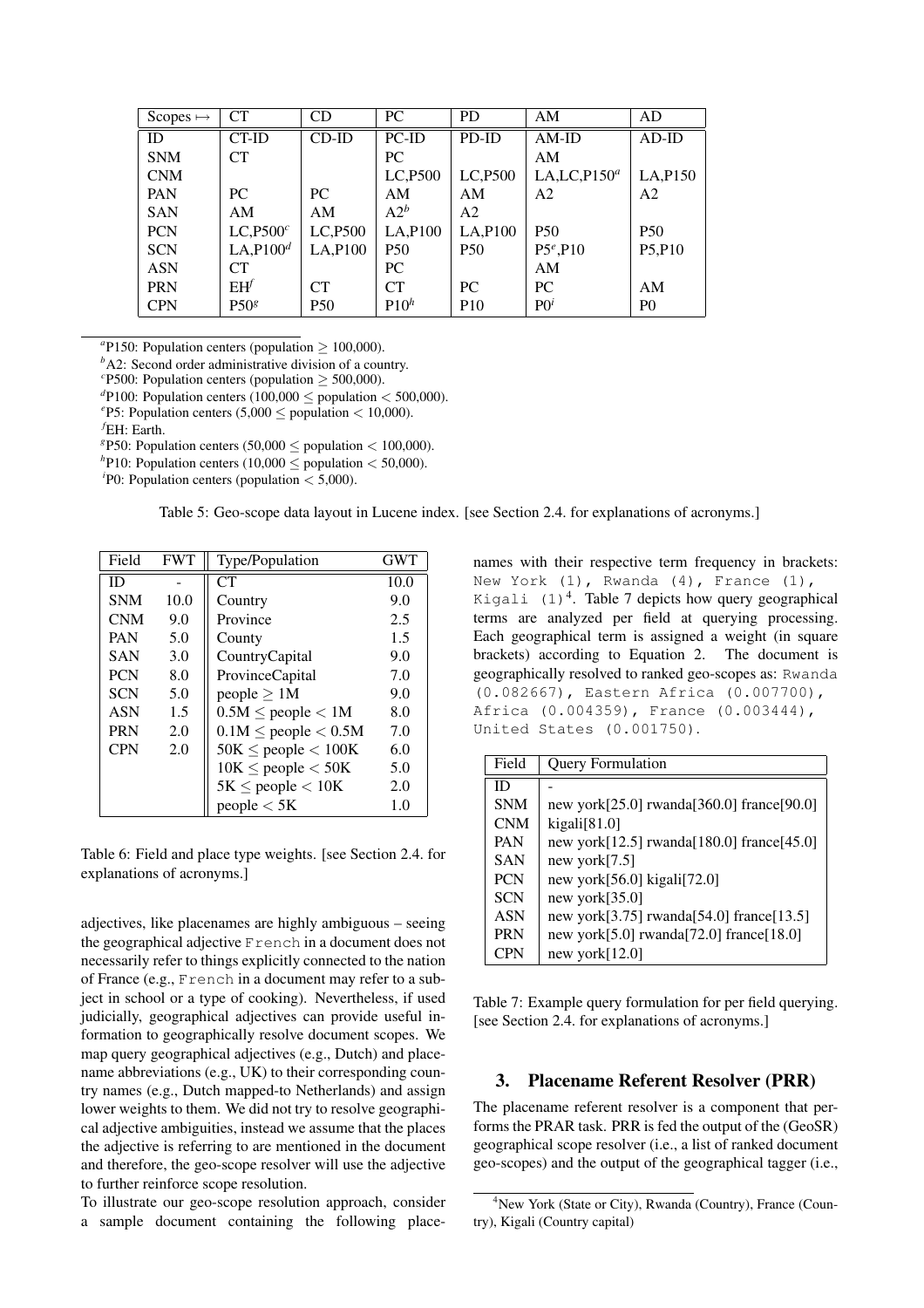| Scopes $\mapsto$ | <b>CT</b>             | <b>CD</b>  | PC.              | P <sub>D</sub>  | AM              | AD                              |
|------------------|-----------------------|------------|------------------|-----------------|-----------------|---------------------------------|
| ID               | CT-ID                 | $CD$ -ID   | PC-ID            | PD-ID           | $AM$ -ID        | $AD-ID$                         |
| <b>SNM</b>       | <b>CT</b>             |            | PC.              |                 | AM              |                                 |
| <b>CNM</b>       |                       |            | LC, P500         | LC, P500        | LA,LC,P $150^a$ | LA, P150                        |
| PAN              | PC.                   | PC.        | AM               | AM              | A <sub>2</sub>  | A <sub>2</sub>                  |
| <b>SAN</b>       | AM                    | AM         | $A2^b$           | A2              |                 |                                 |
| <b>PCN</b>       | LC, P500 <sup>c</sup> | LC,P500    | LA, P100         | LA, P100        | <b>P50</b>      | <b>P50</b>                      |
| <b>SCN</b>       | LA, P100 <sup>d</sup> | LA, P100   | <b>P50</b>       | <b>P50</b>      | $P5^e, P10$     | P <sub>5</sub> ,P <sub>10</sub> |
| <b>ASN</b>       | <b>CT</b>             |            | PC.              |                 | AM              |                                 |
| <b>PRN</b>       | $EH^f$                | <b>CT</b>  | CT               | PC.             | PC              | AM                              |
| <b>CPN</b>       | P50 <sup>g</sup>      | <b>P50</b> | P10 <sup>h</sup> | P <sub>10</sub> | $P0^i$          | P <sub>0</sub>                  |

 $a$ P150: Population centers (population  $\geq 100,000$ ).

*b*A2: Second order administrative division of a country.

<sup>c</sup>P500: Population centers (population  $\geq$  500,000).

 $\text{d}P$ 100: Population centers (100,000  $\leq$  population  $<$  500,000).

<sup>e</sup>P5: Population centers  $(5,000 \leq$  population  $< 10,000$ ).

*<sup>f</sup>*EH: Earth.

<sup>g</sup>P50: Population centers (50,000  $\leq$  population  $<$  100,000).

 $h$ P10: Population centers (10,000  $\leq$  population  $<$  50,000).

 $^{i}$ P0: Population centers (population  $<$  5,000).

Table 5: Geo-scope data layout in Lucene index. [see Section 2.4. for explanations of acronyms.]

| Field      | <b>FWT</b> | Type/Population            | <b>GWT</b> |
|------------|------------|----------------------------|------------|
| ID         |            | CT                         | 10.0       |
| <b>SNM</b> | 10.0       | Country                    | 9.0        |
| <b>CNM</b> | 9.0        | Province                   | 2.5        |
| <b>PAN</b> | 5.0        | County                     | 1.5        |
| <b>SAN</b> | 3.0        | CountryCapital             | 9.0        |
| <b>PCN</b> | 8.0        | ProvinceCapital            | 7.0        |
| <b>SCN</b> | 5.0        | people $\geq 1M$           | 9.0        |
| <b>ASN</b> | 1.5        | $0.5M \le$ people $< 1M$   | 8.0        |
| <b>PRN</b> | 2.0        | $0.1M \le$ people $< 0.5M$ | 7.0        |
| <b>CPN</b> | 2.0        | $50K \leq$ people $< 100K$ | 6.0        |
|            |            | $10K \leq$ people $<$ 50K  | 5.0        |
|            |            | $5K \leq$ people $< 10K$   | 2.0        |
|            |            | people < 5K                | 1.0        |

Table 6: Field and place type weights. [see Section 2.4. for explanations of acronyms.]

adjectives, like placenames are highly ambiguous – seeing the geographical adjective French in a document does not necessarily refer to things explicitly connected to the nation of France (e.g., French in a document may refer to a subject in school or a type of cooking). Nevertheless, if used judicially, geographical adjectives can provide useful information to geographically resolve document scopes. We map query geographical adjectives (e.g., Dutch) and placename abbreviations (e.g., UK) to their corresponding country names (e.g., Dutch mapped-to Netherlands) and assign lower weights to them. We did not try to resolve geographical adjective ambiguities, instead we assume that the places the adjective is referring to are mentioned in the document and therefore, the geo-scope resolver will use the adjective to further reinforce scope resolution.

To illustrate our geo-scope resolution approach, consider a sample document containing the following placenames with their respective term frequency in brackets: New York  $(1)$ , Rwanda  $(4)$ , France  $(1)$ , Kigali  $(1)^4$ . Table 7 depicts how query geographical terms are analyzed per field at querying processing. Each geographical term is assigned a weight (in square brackets) according to Equation 2. The document is geographically resolved to ranked geo-scopes as: Rwanda (0.082667), Eastern Africa (0.007700), Africa (0.004359), France (0.003444), United States (0.001750).

| Field      | <b>Query Formulation</b>                           |
|------------|----------------------------------------------------|
| ID         |                                                    |
| <b>SNM</b> | new york $[25.0]$ rwanda $[360.0]$ france $[90.0]$ |
| <b>CNM</b> | kigali[81.0]                                       |
| <b>PAN</b> | new york $[12.5]$ rwanda $[180.0]$ france $[45.0]$ |
| <b>SAN</b> | new york $[7.5]$                                   |
| <b>PCN</b> | new york $[56.0]$ kigali $[72.0]$                  |
| <b>SCN</b> | new york $[35.0]$                                  |
| <b>ASN</b> | new york $[3.75]$ rwanda $[54.0]$ france $[13.5]$  |
| <b>PRN</b> | new york $[5.0]$ rwanda $[72.0]$ france $[18.0]$   |
| CPN        | new york $[12.0]$                                  |

Table 7: Example query formulation for per field querying. [see Section 2.4. for explanations of acronyms.]

### 3. Placename Referent Resolver (PRR)

The placename referent resolver is a component that performs the PRAR task. PRR is fed the output of the (GeoSR) geographical scope resolver (i.e., a list of ranked document geo-scopes) and the output of the geographical tagger (i.e.,

<sup>4</sup>New York (State or City), Rwanda (Country), France (Country), Kigali (Country capital)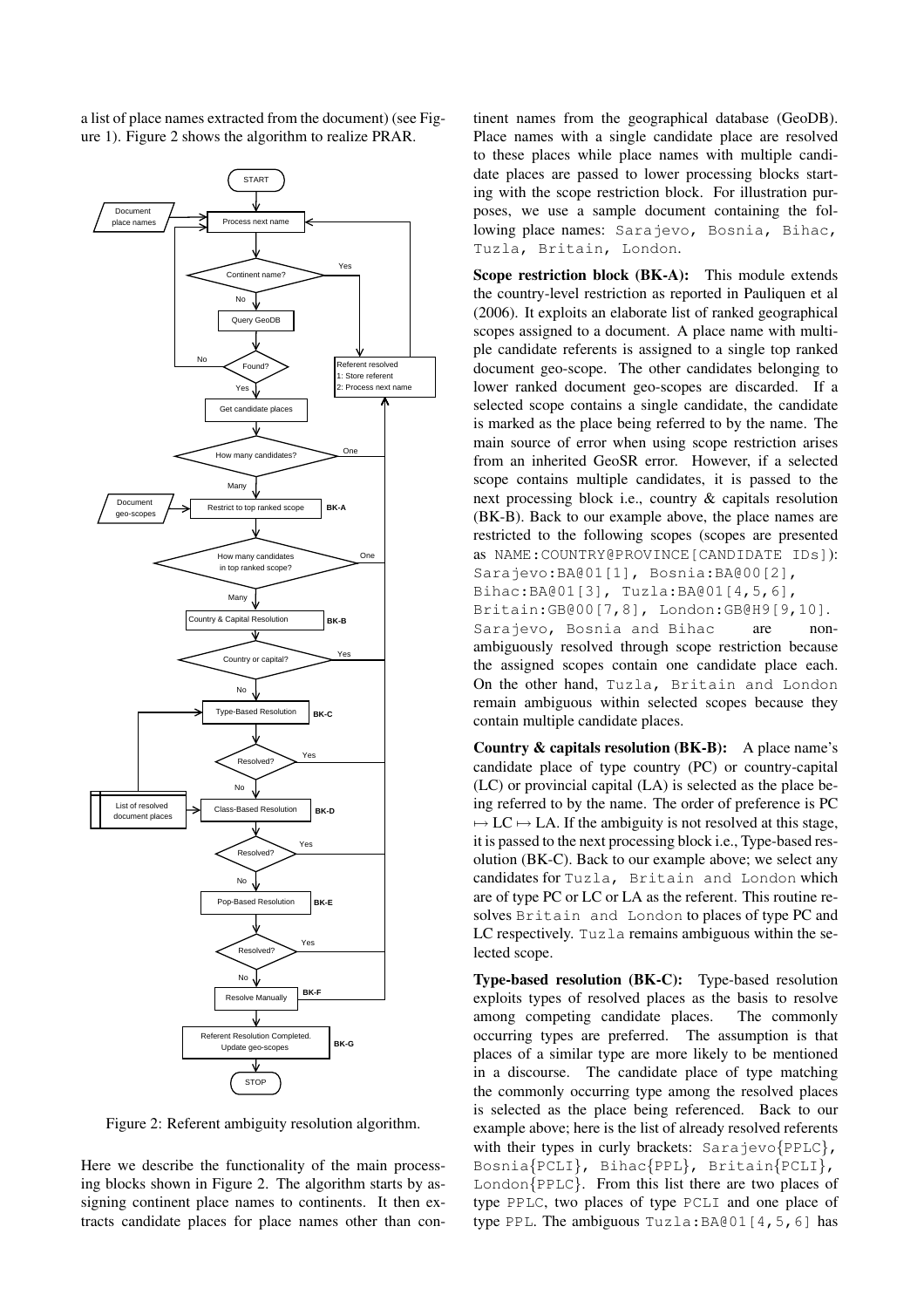a list of place names extracted from the document) (see Figure 1). Figure 2 shows the algorithm to realize PRAR.



Figure 2: Referent ambiguity resolution algorithm.

Here we describe the functionality of the main processing blocks shown in Figure 2. The algorithm starts by assigning continent place names to continents. It then extracts candidate places for place names other than continent names from the geographical database (GeoDB). Place names with a single candidate place are resolved to these places while place names with multiple candidate places are passed to lower processing blocks starting with the scope restriction block. For illustration purposes, we use a sample document containing the following place names: Sarajevo, Bosnia, Bihac, Tuzla, Britain, London.

Scope restriction block (BK-A): This module extends the country-level restriction as reported in Pauliquen et al (2006). It exploits an elaborate list of ranked geographical scopes assigned to a document. A place name with multiple candidate referents is assigned to a single top ranked document geo-scope. The other candidates belonging to lower ranked document geo-scopes are discarded. If a selected scope contains a single candidate, the candidate is marked as the place being referred to by the name. The main source of error when using scope restriction arises from an inherited GeoSR error. However, if a selected scope contains multiple candidates, it is passed to the next processing block i.e., country & capitals resolution (BK-B). Back to our example above, the place names are restricted to the following scopes (scopes are presented as NAME:COUNTRY@PROVINCE[CANDIDATE IDs]): Sarajevo:BA@01[1], Bosnia:BA@00[2], Bihac:BA@01[3], Tuzla:BA@01[4,5,6], Britain:GB@00[7,8], London:GB@H9[9,10]. Sarajevo, Bosnia and Bihac are nonambiguously resolved through scope restriction because the assigned scopes contain one candidate place each. On the other hand, Tuzla, Britain and London remain ambiguous within selected scopes because they contain multiple candidate places.

Country & capitals resolution (BK-B): A place name's candidate place of type country (PC) or country-capital (LC) or provincial capital (LA) is selected as the place being referred to by the name. The order of preference is PC  $\rightarrow$  LC  $\rightarrow$  LA. If the ambiguity is not resolved at this stage, it is passed to the next processing block i.e., Type-based resolution (BK-C). Back to our example above; we select any candidates for Tuzla, Britain and London which are of type PC or LC or LA as the referent. This routine resolves Britain and London to places of type PC and LC respectively. Tuzla remains ambiguous within the selected scope.

Type-based resolution (BK-C): Type-based resolution exploits types of resolved places as the basis to resolve among competing candidate places. The commonly occurring types are preferred. The assumption is that places of a similar type are more likely to be mentioned in a discourse. The candidate place of type matching the commonly occurring type among the resolved places is selected as the place being referenced. Back to our example above; here is the list of already resolved referents with their types in curly brackets:  $Sarajevo\{PPLC\}$ , Bosnia{PCLI}, Bihac{PPL}, Britain{PCLI},  $London{PPLC}$ . From this list there are two places of type PPLC, two places of type PCLI and one place of type PPL. The ambiguous Tuzla:BA@01[4,5,6] has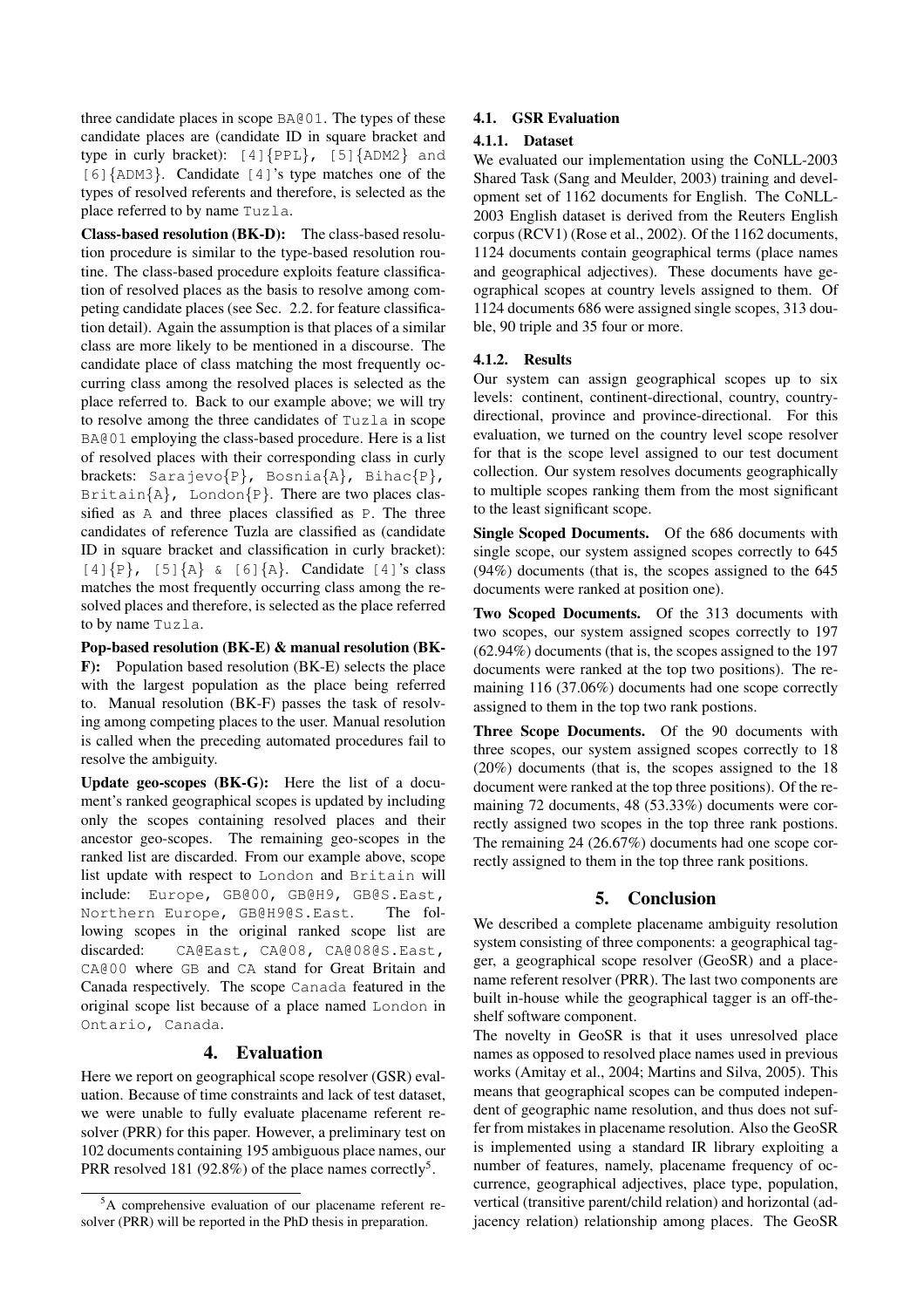three candidate places in scope BA@01. The types of these candidate places are (candidate ID in square bracket and type in curly bracket):  $[4]{\text{PPL}}, [5]{\text{ADM2}}$  and [6]{ADM3}. Candidate [4]'s type matches one of the types of resolved referents and therefore, is selected as the place referred to by name Tuzla.

Class-based resolution (BK-D): The class-based resolution procedure is similar to the type-based resolution routine. The class-based procedure exploits feature classification of resolved places as the basis to resolve among competing candidate places (see Sec. 2.2. for feature classification detail). Again the assumption is that places of a similar class are more likely to be mentioned in a discourse. The candidate place of class matching the most frequently occurring class among the resolved places is selected as the place referred to. Back to our example above; we will try to resolve among the three candidates of Tuzla in scope BA@01 employing the class-based procedure. Here is a list of resolved places with their corresponding class in curly brackets: Sarajevo{P}, Bosnia{A}, Bihac{P}, Britain ${A}$ , London ${P}$ . There are two places classified as A and three places classified as P. The three candidates of reference Tuzla are classified as (candidate ID in square bracket and classification in curly bracket):  $[4]{P}, [5]{A}$   $[6]{A}.$  Candidate  $[4]'$ s class matches the most frequently occurring class among the resolved places and therefore, is selected as the place referred to by name Tuzla.

Pop-based resolution (BK-E) & manual resolution (BK-F): Population based resolution (BK-E) selects the place with the largest population as the place being referred to. Manual resolution (BK-F) passes the task of resolving among competing places to the user. Manual resolution is called when the preceding automated procedures fail to resolve the ambiguity.

Update geo-scopes (BK-G): Here the list of a document's ranked geographical scopes is updated by including only the scopes containing resolved places and their ancestor geo-scopes. The remaining geo-scopes in the ranked list are discarded. From our example above, scope list update with respect to London and Britain will include: Europe, GB@00, GB@H9, GB@S.East, Northern Europe, GB@H9@S.East. The following scopes in the original ranked scope list are discarded: CA@East, CA@08, CA@08@S.East, CA@00 where GB and CA stand for Great Britain and Canada respectively. The scope Canada featured in the original scope list because of a place named London in Ontario, Canada.

### 4. Evaluation

Here we report on geographical scope resolver (GSR) evaluation. Because of time constraints and lack of test dataset, we were unable to fully evaluate placename referent resolver (PRR) for this paper. However, a preliminary test on 102 documents containing 195 ambiguous place names, our PRR resolved 181 (92.8%) of the place names correctly<sup>5</sup>.

### 4.1. GSR Evaluation

#### 4.1.1. Dataset

We evaluated our implementation using the CoNLL-2003 Shared Task (Sang and Meulder, 2003) training and development set of 1162 documents for English. The CoNLL-2003 English dataset is derived from the Reuters English corpus (RCV1) (Rose et al., 2002). Of the 1162 documents, 1124 documents contain geographical terms (place names and geographical adjectives). These documents have geographical scopes at country levels assigned to them. Of 1124 documents 686 were assigned single scopes, 313 double, 90 triple and 35 four or more.

#### 4.1.2. Results

Our system can assign geographical scopes up to six levels: continent, continent-directional, country, countrydirectional, province and province-directional. For this evaluation, we turned on the country level scope resolver for that is the scope level assigned to our test document collection. Our system resolves documents geographically to multiple scopes ranking them from the most significant to the least significant scope.

Single Scoped Documents. Of the 686 documents with single scope, our system assigned scopes correctly to 645 (94%) documents (that is, the scopes assigned to the 645 documents were ranked at position one).

Two Scoped Documents. Of the 313 documents with two scopes, our system assigned scopes correctly to 197 (62.94%) documents (that is, the scopes assigned to the 197 documents were ranked at the top two positions). The remaining 116 (37.06%) documents had one scope correctly assigned to them in the top two rank postions.

Three Scope Documents. Of the 90 documents with three scopes, our system assigned scopes correctly to 18 (20%) documents (that is, the scopes assigned to the 18 document were ranked at the top three positions). Of the remaining 72 documents, 48 (53.33%) documents were correctly assigned two scopes in the top three rank postions. The remaining 24 (26.67%) documents had one scope correctly assigned to them in the top three rank positions.

### 5. Conclusion

We described a complete placename ambiguity resolution system consisting of three components: a geographical tagger, a geographical scope resolver (GeoSR) and a placename referent resolver (PRR). The last two components are built in-house while the geographical tagger is an off-theshelf software component.

The novelty in GeoSR is that it uses unresolved place names as opposed to resolved place names used in previous works (Amitay et al., 2004; Martins and Silva, 2005). This means that geographical scopes can be computed independent of geographic name resolution, and thus does not suffer from mistakes in placename resolution. Also the GeoSR is implemented using a standard IR library exploiting a number of features, namely, placename frequency of occurrence, geographical adjectives, place type, population, vertical (transitive parent/child relation) and horizontal (adjacency relation) relationship among places. The GeoSR

<sup>&</sup>lt;sup>5</sup>A comprehensive evaluation of our placename referent resolver (PRR) will be reported in the PhD thesis in preparation.